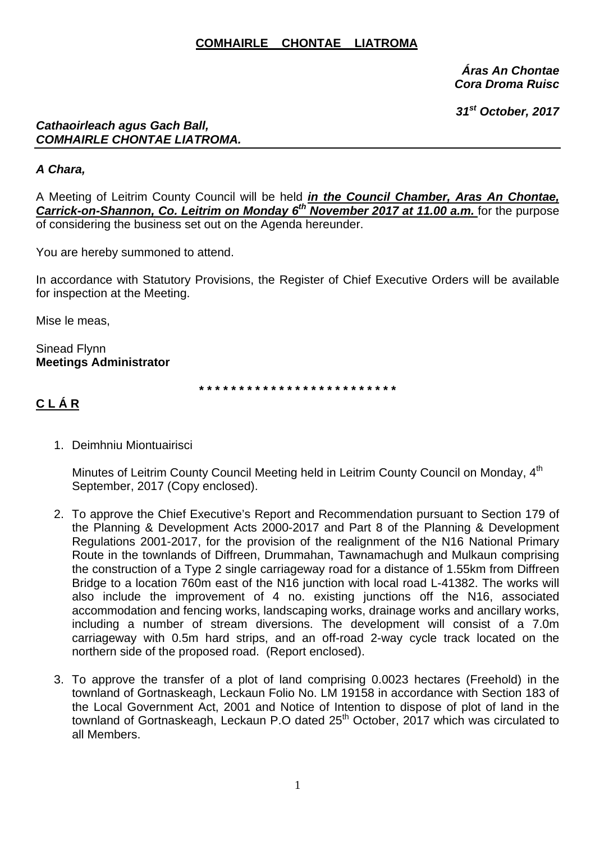#### **COMHAIRLE CHONTAE LIATROMA**

*Áras An Chontae Cora Droma Ruisc* 

 *31st October, 2017* 

#### *Cathaoirleach agus Gach Ball, COMHAIRLE CHONTAE LIATROMA.*

#### *A Chara,*

A Meeting of Leitrim County Council will be held *in the Council Chamber, Aras An Chontae,*  **Carrick-on-Shannon, Co. Leitrim on Monday 6<sup>th</sup> November 2017 at 11.00 a.m. for the purpose** of considering the business set out on the Agenda hereunder.

You are hereby summoned to attend.

In accordance with Statutory Provisions, the Register of Chief Executive Orders will be available for inspection at the Meeting.

Mise le meas,

Sinead Flynn **Meetings Administrator** 

**\* \* \* \* \* \* \* \* \* \* \* \* \* \* \* \* \* \* \* \* \* \* \* \* \*** 

# **C L Á R**

1. Deimhniu Miontuairisci

Minutes of Leitrim County Council Meeting held in Leitrim County Council on Mondav. 4<sup>th</sup> September, 2017 (Copy enclosed).

- 2. To approve the Chief Executive's Report and Recommendation pursuant to Section 179 of the Planning & Development Acts 2000-2017 and Part 8 of the Planning & Development Regulations 2001-2017, for the provision of the realignment of the N16 National Primary Route in the townlands of Diffreen, Drummahan, Tawnamachugh and Mulkaun comprising the construction of a Type 2 single carriageway road for a distance of 1.55km from Diffreen Bridge to a location 760m east of the N16 junction with local road L-41382. The works will also include the improvement of 4 no. existing junctions off the N16, associated accommodation and fencing works, landscaping works, drainage works and ancillary works, including a number of stream diversions. The development will consist of a 7.0m carriageway with 0.5m hard strips, and an off-road 2-way cycle track located on the northern side of the proposed road. (Report enclosed).
- 3. To approve the transfer of a plot of land comprising 0.0023 hectares (Freehold) in the townland of Gortnaskeagh, Leckaun Folio No. LM 19158 in accordance with Section 183 of the Local Government Act, 2001 and Notice of Intention to dispose of plot of land in the townland of Gortnaskeagh, Leckaun P.O dated 25<sup>th</sup> October, 2017 which was circulated to all Members.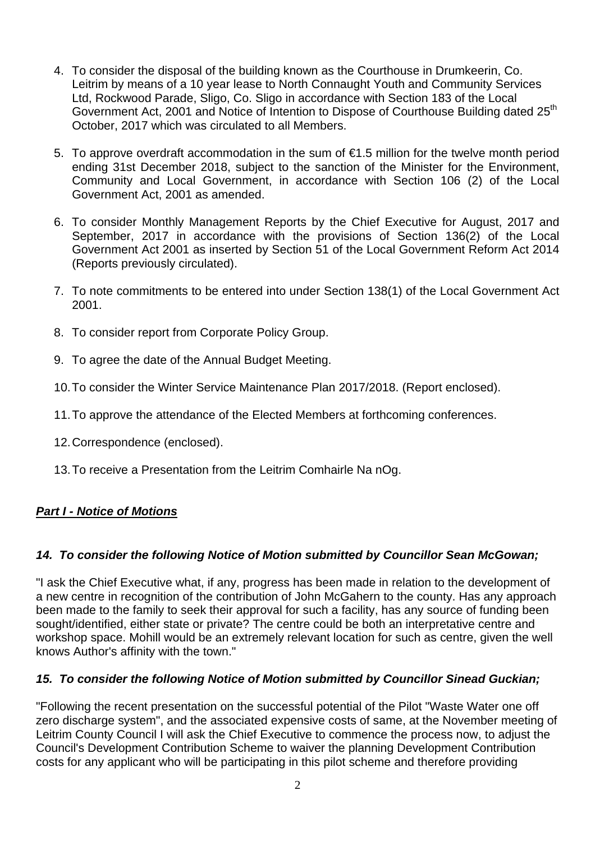- 4. To consider the disposal of the building known as the Courthouse in Drumkeerin, Co. Leitrim by means of a 10 year lease to North Connaught Youth and Community Services Ltd, Rockwood Parade, Sligo, Co. Sligo in accordance with Section 183 of the Local Government Act, 2001 and Notice of Intention to Dispose of Courthouse Building dated 25<sup>th</sup> October, 2017 which was circulated to all Members.
- 5. To approve overdraft accommodation in the sum of €1.5 million for the twelve month period ending 31st December 2018, subject to the sanction of the Minister for the Environment, Community and Local Government, in accordance with Section 106 (2) of the Local Government Act, 2001 as amended.
- 6. To consider Monthly Management Reports by the Chief Executive for August, 2017 and September, 2017 in accordance with the provisions of Section 136(2) of the Local Government Act 2001 as inserted by Section 51 of the Local Government Reform Act 2014 (Reports previously circulated).
- 7. To note commitments to be entered into under Section 138(1) of the Local Government Act 2001.
- 8. To consider report from Corporate Policy Group.
- 9. To agree the date of the Annual Budget Meeting.
- 10. To consider the Winter Service Maintenance Plan 2017/2018. (Report enclosed).
- 11. To approve the attendance of the Elected Members at forthcoming conferences.
- 12. Correspondence (enclosed).
- 13. To receive a Presentation from the Leitrim Comhairle Na nOg.

## *Part I - Notice of Motions*

#### *14. To consider the following Notice of Motion submitted by Councillor Sean McGowan;*

"I ask the Chief Executive what, if any, progress has been made in relation to the development of a new centre in recognition of the contribution of John McGahern to the county. Has any approach been made to the family to seek their approval for such a facility, has any source of funding been sought/identified, either state or private? The centre could be both an interpretative centre and workshop space. Mohill would be an extremely relevant location for such as centre, given the well knows Author's affinity with the town."

#### *15. To consider the following Notice of Motion submitted by Councillor Sinead Guckian;*

"Following the recent presentation on the successful potential of the Pilot "Waste Water one off zero discharge system", and the associated expensive costs of same, at the November meeting of Leitrim County Council I will ask the Chief Executive to commence the process now, to adjust the Council's Development Contribution Scheme to waiver the planning Development Contribution costs for any applicant who will be participating in this pilot scheme and therefore providing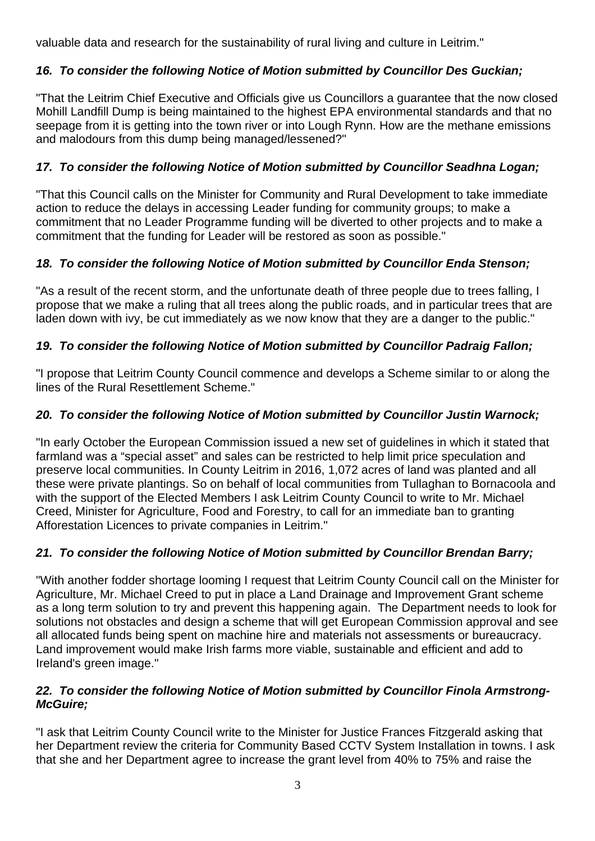valuable data and research for the sustainability of rural living and culture in Leitrim."

# *16. To consider the following Notice of Motion submitted by Councillor Des Guckian;*

"That the Leitrim Chief Executive and Officials give us Councillors a guarantee that the now closed Mohill Landfill Dump is being maintained to the highest EPA environmental standards and that no seepage from it is getting into the town river or into Lough Rynn. How are the methane emissions and malodours from this dump being managed/lessened?"

# *17. To consider the following Notice of Motion submitted by Councillor Seadhna Logan;*

"That this Council calls on the Minister for Community and Rural Development to take immediate action to reduce the delays in accessing Leader funding for community groups; to make a commitment that no Leader Programme funding will be diverted to other projects and to make a commitment that the funding for Leader will be restored as soon as possible."

## *18. To consider the following Notice of Motion submitted by Councillor Enda Stenson;*

"As a result of the recent storm, and the unfortunate death of three people due to trees falling, I propose that we make a ruling that all trees along the public roads, and in particular trees that are laden down with ivy, be cut immediately as we now know that they are a danger to the public."

# *19. To consider the following Notice of Motion submitted by Councillor Padraig Fallon;*

"I propose that Leitrim County Council commence and develops a Scheme similar to or along the lines of the Rural Resettlement Scheme."

### *20. To consider the following Notice of Motion submitted by Councillor Justin Warnock;*

"In early October the European Commission issued a new set of guidelines in which it stated that farmland was a "special asset" and sales can be restricted to help limit price speculation and preserve local communities. In County Leitrim in 2016, 1,072 acres of land was planted and all these were private plantings. So on behalf of local communities from Tullaghan to Bornacoola and with the support of the Elected Members I ask Leitrim County Council to write to Mr. Michael Creed, Minister for Agriculture, Food and Forestry, to call for an immediate ban to granting Afforestation Licences to private companies in Leitrim."

## *21. To consider the following Notice of Motion submitted by Councillor Brendan Barry;*

"With another fodder shortage looming I request that Leitrim County Council call on the Minister for Agriculture, Mr. Michael Creed to put in place a Land Drainage and Improvement Grant scheme as a long term solution to try and prevent this happening again. The Department needs to look for solutions not obstacles and design a scheme that will get European Commission approval and see all allocated funds being spent on machine hire and materials not assessments or bureaucracy. Land improvement would make Irish farms more viable, sustainable and efficient and add to Ireland's green image."

#### *22. To consider the following Notice of Motion submitted by Councillor Finola Armstrong-McGuire;*

"I ask that Leitrim County Council write to the Minister for Justice Frances Fitzgerald asking that her Department review the criteria for Community Based CCTV System Installation in towns. I ask that she and her Department agree to increase the grant level from 40% to 75% and raise the